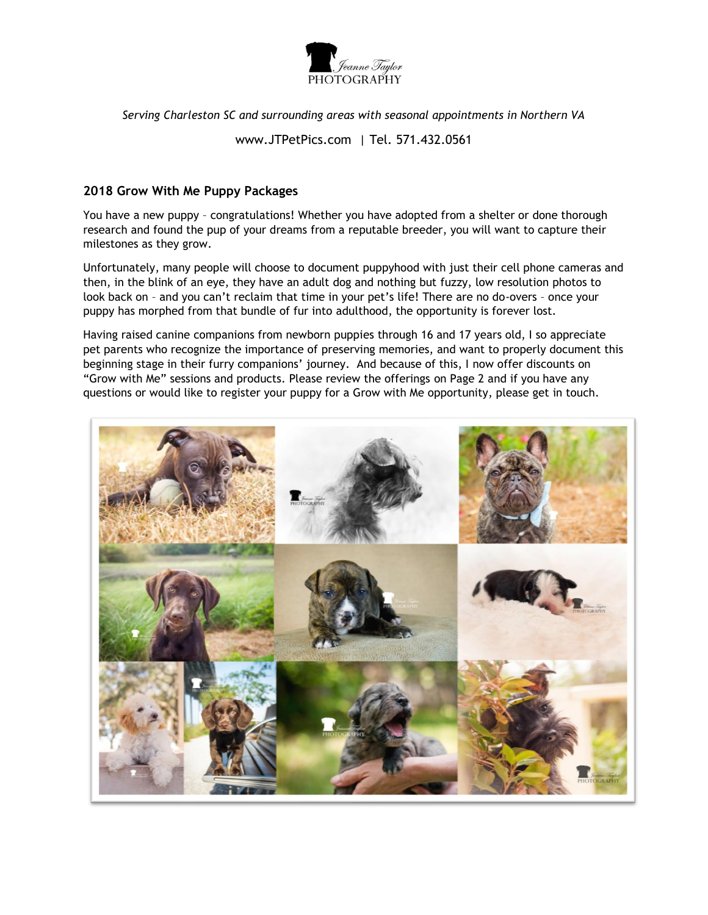

*Serving Charleston SC and surrounding areas with seasonal appointments in Northern VA*

www.JTPetPics.com | Tel. 571.432.0561

## **2018 Grow With Me Puppy Packages**

You have a new puppy – congratulations! Whether you have adopted from a shelter or done thorough research and found the pup of your dreams from a reputable breeder, you will want to capture their milestones as they grow.

Unfortunately, many people will choose to document puppyhood with just their cell phone cameras and then, in the blink of an eye, they have an adult dog and nothing but fuzzy, low resolution photos to look back on – and you can't reclaim that time in your pet's life! There are no do-overs – once your puppy has morphed from that bundle of fur into adulthood, the opportunity is forever lost.

Having raised canine companions from newborn puppies through 16 and 17 years old, I so appreciate pet parents who recognize the importance of preserving memories, and want to properly document this beginning stage in their furry companions' journey. And because of this, I now offer discounts on "Grow with Me" sessions and products. Please review the offerings on Page 2 and if you have any questions or would like to register your puppy for a Grow with Me opportunity, please get in touch.